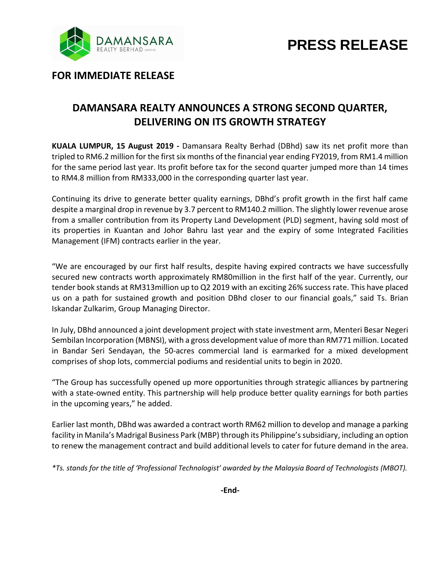

# **PRESS RELEASE**

### **FOR IMMEDIATE RELEASE**

### **DAMANSARA REALTY ANNOUNCES A STRONG SECOND QUARTER, DELIVERING ON ITS GROWTH STRATEGY**

**KUALA LUMPUR, 15 August 2019 -** Damansara Realty Berhad (DBhd) saw its net profit more than tripled to RM6.2 million for the first six months of the financial year ending FY2019, from RM1.4 million for the same period last year. Its profit before tax for the second quarter jumped more than 14 times to RM4.8 million from RM333,000 in the corresponding quarter last year.

Continuing its drive to generate better quality earnings, DBhd's profit growth in the first half came despite a marginal drop in revenue by 3.7 percent to RM140.2 million. The slightly lower revenue arose from a smaller contribution from its Property Land Development (PLD) segment, having sold most of its properties in Kuantan and Johor Bahru last year and the expiry of some Integrated Facilities Management (IFM) contracts earlier in the year.

"We are encouraged by our first half results, despite having expired contracts we have successfully secured new contracts worth approximately RM80million in the first half of the year. Currently, our tender book stands at RM313million up to Q2 2019 with an exciting 26% success rate. This have placed us on a path for sustained growth and position DBhd closer to our financial goals," said Ts. Brian Iskandar Zulkarim, Group Managing Director.

In July, DBhd announced a joint development project with state investment arm, Menteri Besar Negeri Sembilan Incorporation (MBNSI), with a gross development value of more than RM771 million. Located in Bandar Seri Sendayan, the 50-acres commercial land is earmarked for a mixed development comprises of shop lots, commercial podiums and residential units to begin in 2020.

"The Group has successfully opened up more opportunities through strategic alliances by partnering with a state-owned entity. This partnership will help produce better quality earnings for both parties in the upcoming years," he added.

Earlier last month, DBhd was awarded a contract worth RM62 million to develop and manage a parking facility in Manila's Madrigal Business Park (MBP) through its Philippine's subsidiary, including an option to renew the management contract and build additional levels to cater for future demand in the area.

*\*Ts. stands for the title of 'Professional Technologist' awarded by the Malaysia Board of Technologists (MBOT).*